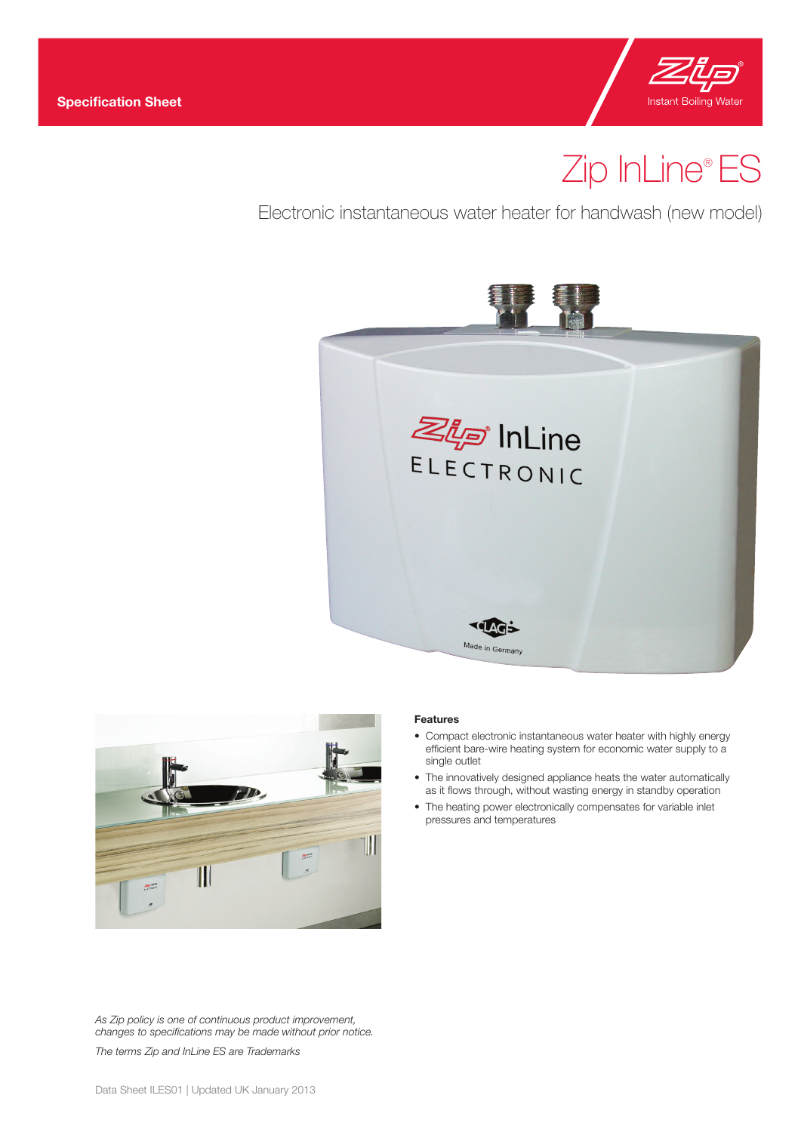

# Zip InLine® ES

Electronic instantaneous water heater for handwash (new model)





# *As Zip policy is one of continuous product improvement, changes to specifications may be made without prior notice.*

*The terms Zip and InLine ES are Trademarks*

#### **Features**

- Compact electronic instantaneous water heater with highly energy efficient bare-wire heating system for economic water supply to a single outlet
- The innovatively designed appliance heats the water automatically as it flows through, without wasting energy in standby operation
- The heating power electronically compensates for variable inlet pressures and temperatures